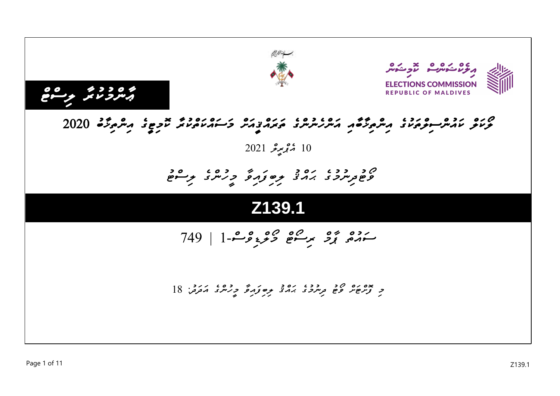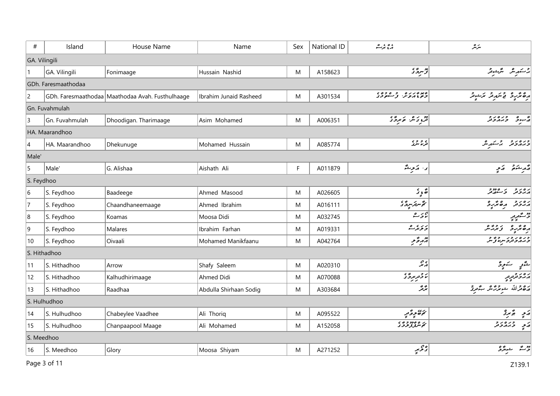| #               | Island              | House Name                                       | Name                   | Sex       | National ID | ، ه ، ره<br>مره برگ                     | ىئرىتر                                                                                                                                                                                                                              |
|-----------------|---------------------|--------------------------------------------------|------------------------|-----------|-------------|-----------------------------------------|-------------------------------------------------------------------------------------------------------------------------------------------------------------------------------------------------------------------------------------|
| GA. Vilingili   |                     |                                                  |                        |           |             |                                         |                                                                                                                                                                                                                                     |
|                 | GA. Vilingili       | Fonimaage                                        | Hussain Nashid         | M         | A158623     | ژسرچ ۽                                  | برسكىرىكى المرتشوش                                                                                                                                                                                                                  |
|                 | GDh. Faresmaathodaa |                                                  |                        |           |             |                                         |                                                                                                                                                                                                                                     |
| 2               |                     | GDh. Faresmaathodaa Maathodaa Avah. Fusthulhaage | Ibrahim Junaid Rasheed | M         | A301534     | پر پر ره ده د ده د ده<br>د پر پر پر سون | مەھەر ئەسمى كەنبە                                                                                                                                                                                                                   |
|                 | Gn. Fuvahmulah      |                                                  |                        |           |             |                                         |                                                                                                                                                                                                                                     |
| 3               | Gn. Fuvahmulah      | Dhoodigan. Tharimaage                            | Asim Mohamed           | M         | A006351     | قروبر مى ئەبرىمى                        | ه و دره د و<br>هستو وبرووتر                                                                                                                                                                                                         |
|                 | HA. Maarandhoo      |                                                  |                        |           |             |                                         |                                                                                                                                                                                                                                     |
| $\overline{4}$  | HA. Maarandhoo      | Dhekunuge                                        | Mohamed Hussain        | ${\sf M}$ | A085774     | ، ج ج ج ۽<br>قريا سرچ                   | ورەرو ويەر                                                                                                                                                                                                                          |
| Male'           |                     |                                                  |                        |           |             |                                         |                                                                                                                                                                                                                                     |
| 5               | Male'               | G. Alishaa                                       | Aishath Ali            | F.        | A011879     | ى - مەتوشە                              | وكرمشتمو الكامح                                                                                                                                                                                                                     |
| S. Feydhoo      |                     |                                                  |                        |           |             |                                         |                                                                                                                                                                                                                                     |
| $6\overline{6}$ | S. Feydhoo          | Baadeege                                         | Ahmed Masood           | M         | A026605     | ړ<br>ځېږ                                | ر ە ر د<br>م.ئرىر تىر<br>بر ۶ <i>۶۵ و</i><br>تر سوړنو                                                                                                                                                                               |
| 7               | S. Feydhoo          | Chaandhaneemaage                                 | Ahmed Ibrahim          | M         | A016111     | ڭۇسرترس <sub>ر</sub> ىرىگى              | ورود مصرور                                                                                                                                                                                                                          |
| 8               | S. Feydhoo          | Koamas                                           | Moosa Didi             | M         | A032745     | ەر ە                                    | اتر مشهود<br> تر مشهود                                                                                                                                                                                                              |
| 9               | S. Feydhoo          | Malares                                          | Ibrahim Farhan         | M         | A019331     | ىر يە ھ<br><b>ب</b> ە ئىرىگ             | رەيزرو زىر <i>دە</i>                                                                                                                                                                                                                |
| 10              | S. Feydhoo          | Oivaali                                          | Mohamed Manikfaanu     | M         | A042764     | وترمرغر                                 | وره رور سروه و<br>د بر بر د تر شرید تر ش                                                                                                                                                                                            |
|                 | S. Hithadhoo        |                                                  |                        |           |             |                                         |                                                                                                                                                                                                                                     |
| 11              | S. Hithadhoo        | Arrow                                            | Shafy Saleem           | ${\sf M}$ | A020310     | برحمه                                   | ے کھیے جا سکھیے کی ایک ایک ان کے منصب کے ان کے ان کے منصب کے لیے جاتی ہے۔<br>منصب کے منصب کے منصب کے منصب کے منصب کے حاصل کے منصب کے منصب کے باہر کے منصب کے منصب کے منصب کے منصب کے منصب ک<br>منصب کے منصب کے منصب کے منصب کے منصب |
| 12              | S. Hithadhoo        | Kalhudhirimaage                                  | <b>Ahmed Didi</b>      | M         | A070088     | ر تومرىر تركي<br>مومرىر تركي            | ر ه رو<br>در دورور                                                                                                                                                                                                                  |
| $ 13\rangle$    | S. Hithadhoo        | Raadhaa                                          | Abdulla Shirhaan Sodig | M         | A303684     | بڑڈ                                     | رە داللە ھەرگەر سەرز                                                                                                                                                                                                                |
|                 | S. Hulhudhoo        |                                                  |                        |           |             |                                         |                                                                                                                                                                                                                                     |
| 14              | S. Hulhudhoo        | Chabeylee Vaadhee                                | Ali Thoriq             | M         | A095522     | کوگامورگ <sup>و</sup> ر                 | أوسمج وتحميرهم                                                                                                                                                                                                                      |
| 15              | S. Hulhudhoo        | Chanpaapool Maage                                | Ali Mohamed            | M         | A152058     | ر ۵ ۶ ۶۶۵ و.<br>کارگرونونو و ک          | ر دره در در در در در در کار در در است.<br>در در در در در در در در                                                                                                                                                                   |
| S. Meedhoo      |                     |                                                  |                        |           |             |                                         |                                                                                                                                                                                                                                     |
| 16              | S. Meedhoo          | Glory                                            | Moosa Shiyam           | M         | A271252     | ە مىمىيە                                | دو مئے<br>شەدگرى                                                                                                                                                                                                                    |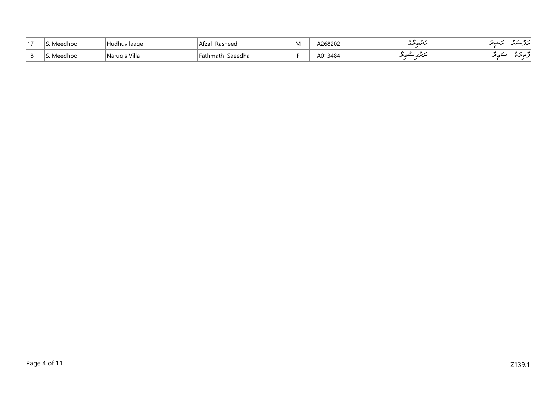| $\overline{a}$ | dhoo! | Ihuvilaade    | -Ras<br>Atza<br>shaar<br>. | M | ADCODOS<br>4∠0ŏ∠∪∠ | ر تر و مر و  | مرو                     |
|----------------|-------|---------------|----------------------------|---|--------------------|--------------|-------------------------|
| 18             | ednoo | Narugis Villa | -athmath<br>Saeedha        |   | A013484            | سربری مسوح پ | - سوور سر<br>.<br>- - - |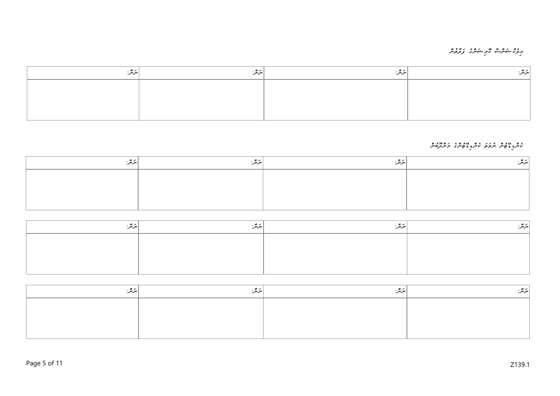## *w7qAn8m?sCw7mRo>u;wEw7mRw;sBo<*

| ' مرمر | 'يئرىثر: |
|--------|----------|
|        |          |
|        |          |
|        |          |

## w*99907 c99u 02 y990 c9000*<br>מית 29 gam=y*7gram*<br>ק

| بر ه | ىر مىر |  |
|------|--------|--|
|      |        |  |
|      |        |  |
|      |        |  |

| $\frac{2}{n}$ | $\overline{\phantom{a}}$ | اير هنه. | $\mathcal{O} \times$<br>سرسر |
|---------------|--------------------------|----------|------------------------------|
|               |                          |          |                              |
|               |                          |          |                              |
|               |                          |          |                              |

| ' ئىرتىر: | سر سر |  |
|-----------|-------|--|
|           |       |  |
|           |       |  |
|           |       |  |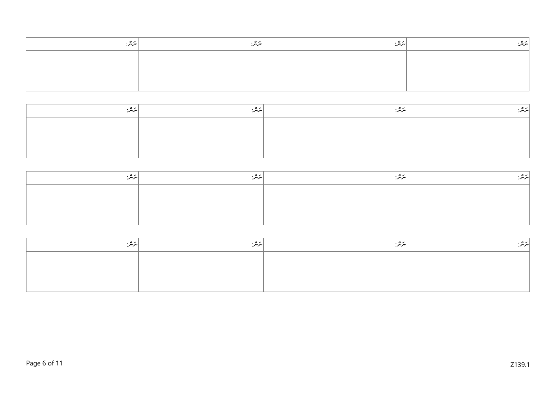| يره. | ο. | ا ير ه |  |
|------|----|--------|--|
|      |    |        |  |
|      |    |        |  |
|      |    |        |  |

| <sup>.</sup> سرسر. |  |
|--------------------|--|
|                    |  |
|                    |  |
|                    |  |

| ىئرىتر. | $\sim$ | ا بر هه. | لىرىش |
|---------|--------|----------|-------|
|         |        |          |       |
|         |        |          |       |
|         |        |          |       |

| 。<br>مرس. | $\overline{\phantom{a}}$<br>مر مىر | ىرىر |
|-----------|------------------------------------|------|
|           |                                    |      |
|           |                                    |      |
|           |                                    |      |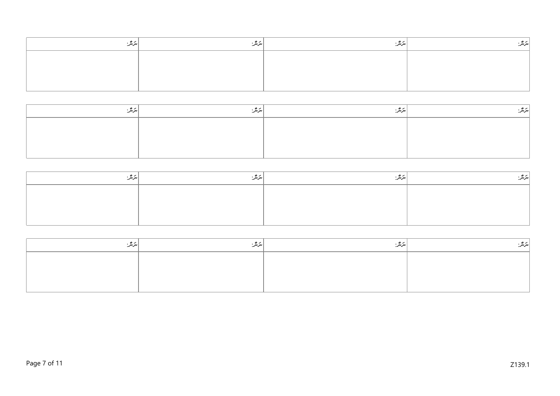| ير هو . | $\overline{\phantom{a}}$ | يرمر | اير هنه. |
|---------|--------------------------|------|----------|
|         |                          |      |          |
|         |                          |      |          |
|         |                          |      |          |

| ىر تىر: | $\circ$ $\sim$<br>" سرسر . | يبرحه | o . |
|---------|----------------------------|-------|-----|
|         |                            |       |     |
|         |                            |       |     |
|         |                            |       |     |

| 'تترنثر: | 。<br>,,,, |  |
|----------|-----------|--|
|          |           |  |
|          |           |  |
|          |           |  |

|  | . ه |
|--|-----|
|  |     |
|  |     |
|  |     |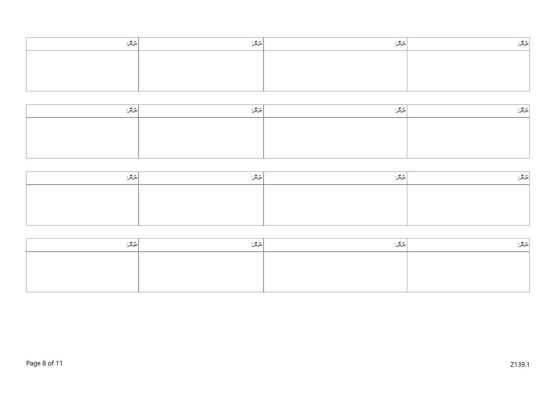| ير هو . | $\overline{\phantom{a}}$ | يرمر | اير هنه. |
|---------|--------------------------|------|----------|
|         |                          |      |          |
|         |                          |      |          |
|         |                          |      |          |

| ىر تىر: | $\circ$ $\sim$<br>" سرسر . | يبرحه | o . |
|---------|----------------------------|-------|-----|
|         |                            |       |     |
|         |                            |       |     |
|         |                            |       |     |

| 'تترنثر: | 。<br>,,,, |  |
|----------|-----------|--|
|          |           |  |
|          |           |  |
|          |           |  |

| 。 |  |  |
|---|--|--|
|   |  |  |
|   |  |  |
|   |  |  |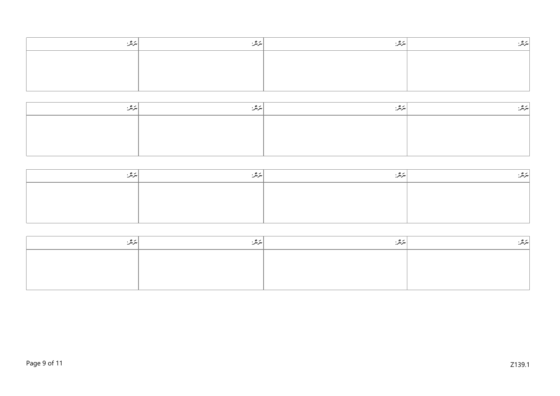| $\cdot$ | 。 | $\frac{\circ}{\cdot}$ | $\sim$<br>سرسر |
|---------|---|-----------------------|----------------|
|         |   |                       |                |
|         |   |                       |                |
|         |   |                       |                |

| يريثن | ' سرسر . |  |
|-------|----------|--|
|       |          |  |
|       |          |  |
|       |          |  |

| بر ه | 。 | $\sim$<br>َ سومس. |  |
|------|---|-------------------|--|
|      |   |                   |  |
|      |   |                   |  |
|      |   |                   |  |

| 。<br>. س | ىرىىر |  |
|----------|-------|--|
|          |       |  |
|          |       |  |
|          |       |  |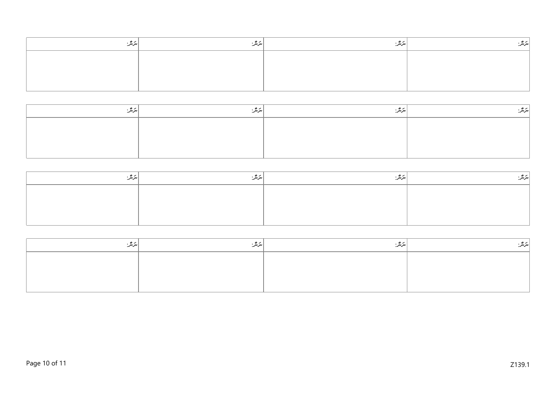| ير هو . | $\overline{\phantom{a}}$ | يرمر | اير هنه. |
|---------|--------------------------|------|----------|
|         |                          |      |          |
|         |                          |      |          |
|         |                          |      |          |

| ىئرىتى: | الترنثين | ا بر هر: | o <i>~</i><br>َ سرسر |
|---------|----------|----------|----------------------|
|         |          |          |                      |
|         |          |          |                      |
|         |          |          |                      |

| الترنثر: | ' مرتكز: | الترنثر: | .,<br>سرس. |
|----------|----------|----------|------------|
|          |          |          |            |
|          |          |          |            |
|          |          |          |            |

|  | . ه |
|--|-----|
|  |     |
|  |     |
|  |     |